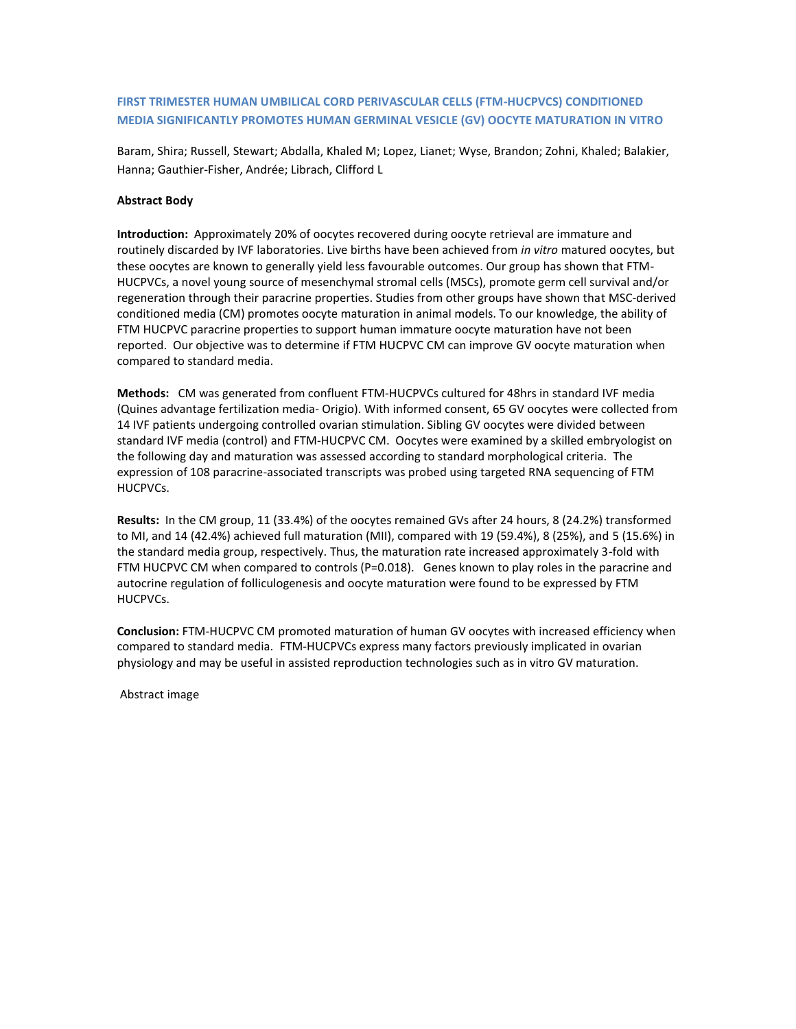## **FIRST TRIMESTER HUMAN UMBILICAL CORD PERIVASCULAR CELLS (FTM-HUCPVCS) CONDITIONED MEDIA SIGNIFICANTLY PROMOTES HUMAN GERMINAL VESICLE (GV) OOCYTE MATURATION IN VITRO**

Baram, Shira; Russell, Stewart; Abdalla, Khaled M; Lopez, Lianet; Wyse, Brandon; Zohni, Khaled; Balakier, Hanna; Gauthier-Fisher, Andrée; Librach, Clifford L

## **Abstract Body**

**Introduction:** Approximately 20% of oocytes recovered during oocyte retrieval are immature and routinely discarded by IVF laboratories. Live births have been achieved from *in vitro* matured oocytes, but these oocytes are known to generally yield less favourable outcomes. Our group has shown that FTM-HUCPVCs, a novel young source of mesenchymal stromal cells (MSCs), promote germ cell survival and/or regeneration through their paracrine properties. Studies from other groups have shown that MSC-derived conditioned media (CM) promotes oocyte maturation in animal models. To our knowledge, the ability of FTM HUCPVC paracrine properties to support human immature oocyte maturation have not been reported. Our objective was to determine if FTM HUCPVC CM can improve GV oocyte maturation when compared to standard media.

**Methods:** CM was generated from confluent FTM-HUCPVCs cultured for 48hrs in standard IVF media (Quines advantage fertilization media- Origio). With informed consent, 65 GV oocytes were collected from 14 IVF patients undergoing controlled ovarian stimulation. Sibling GV oocytes were divided between standard IVF media (control) and FTM-HUCPVC CM. Oocytes were examined by a skilled embryologist on the following day and maturation was assessed according to standard morphological criteria. The expression of 108 paracrine-associated transcripts was probed using targeted RNA sequencing of FTM HUCPVCs.

**Results:** In the CM group, 11 (33.4%) of the oocytes remained GVs after 24 hours, 8 (24.2%) transformed to MI, and 14 (42.4%) achieved full maturation (MII), compared with 19 (59.4%), 8 (25%), and 5 (15.6%) in the standard media group, respectively. Thus, the maturation rate increased approximately 3-fold with FTM HUCPVC CM when compared to controls (P=0.018). Genes known to play roles in the paracrine and autocrine regulation of folliculogenesis and oocyte maturation were found to be expressed by FTM HUCPVCs.

**Conclusion:** FTM-HUCPVC CM promoted maturation of human GV oocytes with increased efficiency when compared to standard media. FTM-HUCPVCs express many factors previously implicated in ovarian physiology and may be useful in assisted reproduction technologies such as in vitro GV maturation.

Abstract image